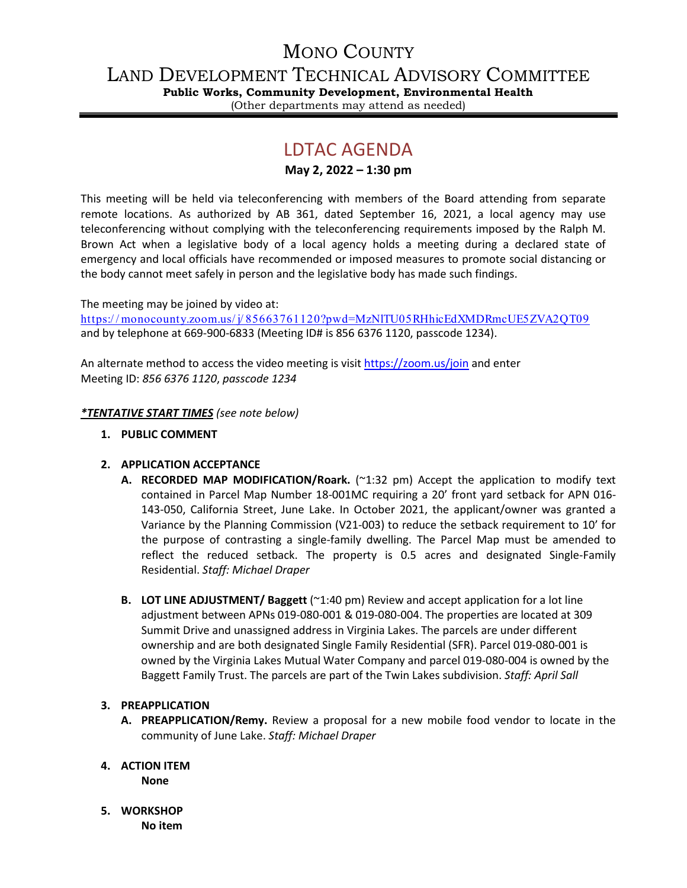# MONO COUNTY

LAND DEVELOPMENT TECHNICAL ADVISORY COMMITTEE

**Public Works, Community Development, Environmental Health** (Other departments may attend as needed)

# LDTAC AGENDA

**May 2, 2022 – 1:30 pm**

This meeting will be held via teleconferencing with members of the Board attending from separate remote locations. As authorized by AB 361, dated September 16, 2021, a local agency may use teleconferencing without complying with the teleconferencing requirements imposed by the Ralph M. Brown Act when a legislative body of a local agency holds a meeting during a declared state of emergency and local officials have recommended or imposed measures to promote social distancing or the body cannot meet safely in person and the legislative body has made such findings.

The meeting may be joined by video at:

[https:/ / monocounty.zoom.us/ j/ 85663761120?pwd=MzNlTU05RHhicEdXMDRmcUE5ZVA2QT09](https://monocounty.zoom.us/j/85663761120?pwd=MzNlTU05RHhicEdXMDRmcUE5ZVA2QT09) and by telephone at 669-900-6833 (Meeting ID# is 856 6376 1120, passcode 1234).

An alternate method to access the video meeting is visit <https://zoom.us/join> and enter Meeting ID: *856 6376 1120*, *passcode 1234*

# *\*TENTATIVE START TIMES (see note below)*

**1. PUBLIC COMMENT**

# **2. APPLICATION ACCEPTANCE**

- **A. RECORDED MAP MODIFICATION/Roark.** (~1:32 pm) Accept the application to modify text contained in Parcel Map Number 18-001MC requiring a 20' front yard setback for APN 016- 143-050, California Street, June Lake. In October 2021, the applicant/owner was granted a Variance by the Planning Commission (V21-003) to reduce the setback requirement to 10' for the purpose of contrasting a single-family dwelling. The Parcel Map must be amended to reflect the reduced setback. The property is 0.5 acres and designated Single-Family Residential. *Staff: Michael Draper*
- **B. LOT LINE ADJUSTMENT/ Baggett** (~1:40 pm) Review and accept application for a lot line adjustment between APNs 019-080-001 & 019-080-004. The properties are located at 309 Summit Drive and unassigned address in Virginia Lakes. The parcels are under different ownership and are both designated Single Family Residential (SFR). Parcel 019-080-001 is owned by the Virginia Lakes Mutual Water Company and parcel 019-080-004 is owned by the Baggett Family Trust. The parcels are part of the Twin Lakes subdivision. *Staff: April Sall*

## **3. PREAPPLICATION**

- **A. PREAPPLICATION/Remy.** Review a proposal for a new mobile food vendor to locate in the community of June Lake. *Staff: Michael Draper*
- **4. ACTION ITEM None**
- **5. WORKSHOP No item**